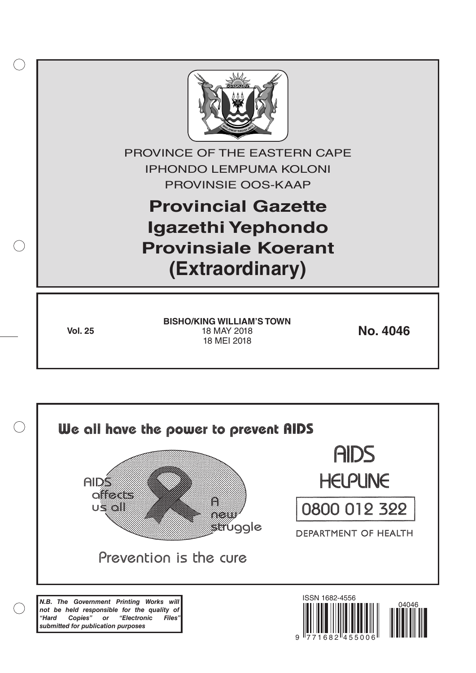

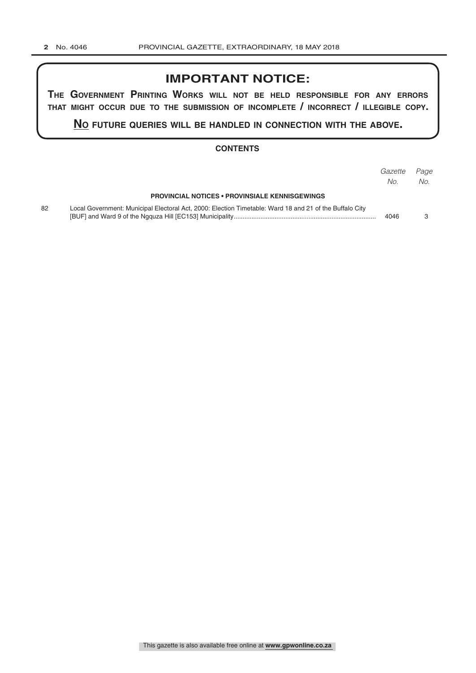# **IMPORTANT NOTICE:**

**The GovernmenT PrinTinG Works Will noT be held resPonsible for any errors ThaT miGhT occur due To The submission of incomPleTe / incorrecT / illeGible coPy.**

**no fuTure queries Will be handled in connecTion WiTh The above.**

#### **CONTENTS**

|    |                                                                                                         | Gazette<br>No. | Page<br>No. |
|----|---------------------------------------------------------------------------------------------------------|----------------|-------------|
|    | <b>PROVINCIAL NOTICES • PROVINSIALE KENNISGEWINGS</b>                                                   |                |             |
| 82 | Local Government: Municipal Electoral Act, 2000: Election Timetable: Ward 18 and 21 of the Buffalo City | 4046           |             |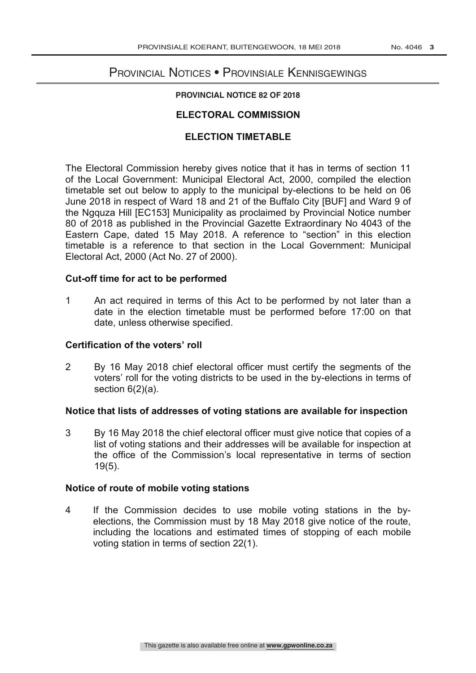## Provincial Notices • Provinsiale Kennisgewings

#### **PROVINCIAL NOTICE 82 OF 2018**

## **ELECTORAL COMMISSION**

### **ELECTION TIMETABLE**

The Electoral Commission hereby gives notice that it has in terms of section 11 of the Local Government: Municipal Electoral Act, 2000, compiled the election timetable set out below to apply to the municipal by-elections to be held on 06 June 2018 in respect of Ward 18 and 21 of the Buffalo City [BUF] and Ward 9 of the Ngquza Hill [EC153] Municipality as proclaimed by Provincial Notice number 80 of 2018 as published in the Provincial Gazette Extraordinary No 4043 of the Eastern Cape, dated 15 May 2018. A reference to "section" in this election timetable is a reference to that section in the Local Government: Municipal Electoral Act, 2000 (Act No. 27 of 2000).

#### **Cut-off time for act to be performed**

1 An act required in terms of this Act to be performed by not later than a date in the election timetable must be performed before 17:00 on that date, unless otherwise specified.

#### **Certification of the voters' roll**

2 By 16 May 2018 chief electoral officer must certify the segments of the voters' roll for the voting districts to be used in the by-elections in terms of section 6(2)(a).

#### **Notice that lists of addresses of voting stations are available for inspection**

3 By 16 May 2018 the chief electoral officer must give notice that copies of a list of voting stations and their addresses will be available for inspection at the office of the Commission's local representative in terms of section 19(5).

#### **Notice of route of mobile voting stations**

4 If the Commission decides to use mobile voting stations in the byelections, the Commission must by 18 May 2018 give notice of the route, including the locations and estimated times of stopping of each mobile voting station in terms of section 22(1).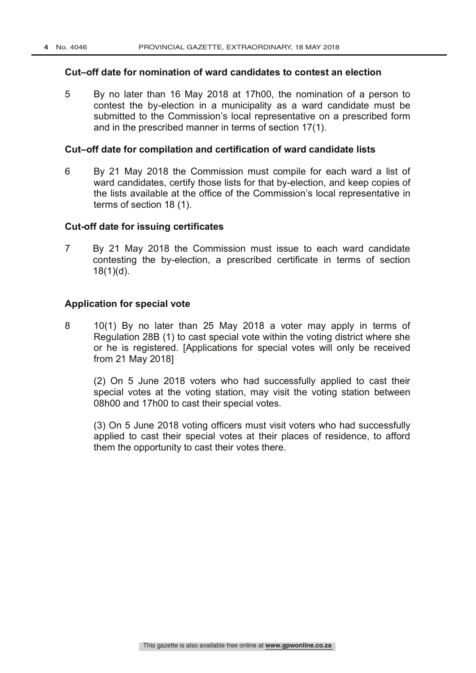#### **Cut–off date for nomination of ward candidates to contest an election**

5 By no later than 16 May 2018 at 17h00, the nomination of a person to contest the by-election in a municipality as a ward candidate must be submitted to the Commission's local representative on a prescribed form and in the prescribed manner in terms of section 17(1).

#### **Cut–off date for compilation and certification of ward candidate lists**

6 By 21 May 2018 the Commission must compile for each ward a list of ward candidates, certify those lists for that by-election, and keep copies of the lists available at the office of the Commission's local representative in terms of section 18 (1).

#### **Cut-off date for issuing certificates**

7 By 21 May 2018 the Commission must issue to each ward candidate contesting the by-election, a prescribed certificate in terms of section  $18(1)(d)$ .

#### **Application for special vote**

8 10(1) By no later than 25 May 2018 a voter may apply in terms of Regulation 28B (1) to cast special vote within the voting district where she or he is registered. [Applications for special votes will only be received from 21 May 2018]

(2) On 5 June 2018 voters who had successfully applied to cast their special votes at the voting station, may visit the voting station between 08h00 and 17h00 to cast their special votes.

(3) On 5 June 2018 voting officers must visit voters who had successfully applied to cast their special votes at their places of residence, to afford them the opportunity to cast their votes there.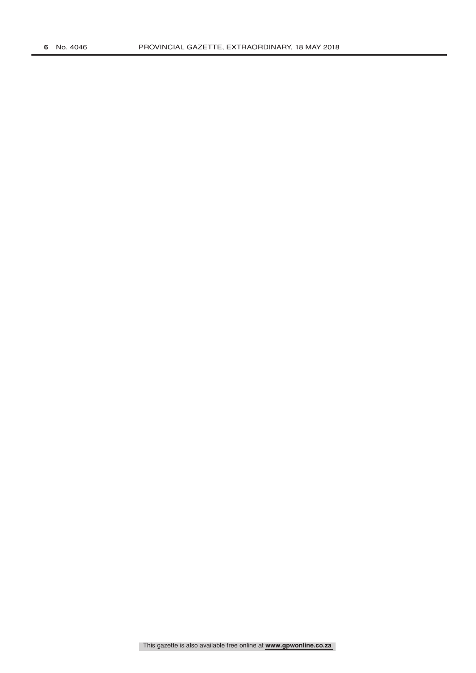This gazette is also available free online at **www.gpwonline.co.za**